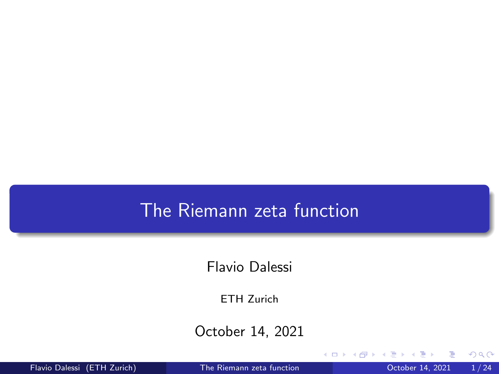### <span id="page-0-0"></span>The Riemann zeta function

Flavio Dalessi

ETH Zurich

October 14, 2021

4 D F

Flavio Dalessi (ETH Zurich) [The Riemann zeta function](#page-24-0) October 14, 2021 1 / 24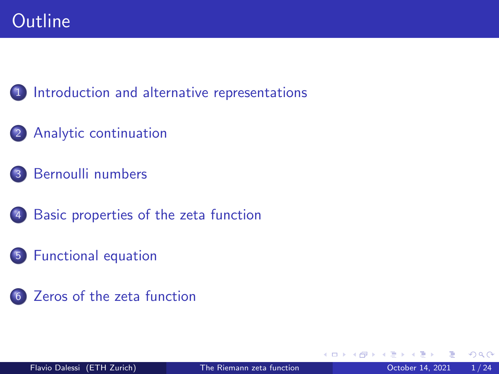### [Introduction and alternative representations](#page-2-0)

- [Analytic continuation](#page-2-0)
- [Bernoulli numbers](#page-2-0)
	- [Basic properties of the zeta function](#page-2-0)
- [Functional equation](#page-2-0)
- [Zeros of the zeta function](#page-2-0)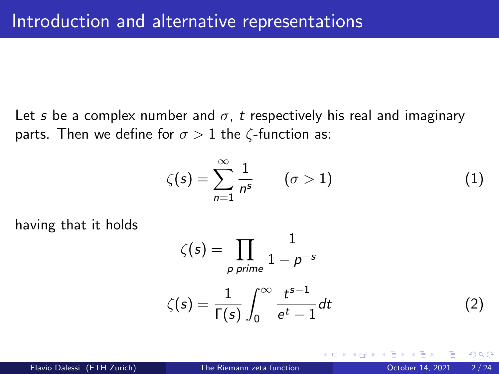<span id="page-2-0"></span>Let s be a complex number and  $\sigma$ , t respectively his real and imaginary parts. Then we define for  $\sigma > 1$  the  $\zeta$ -function as:

$$
\zeta(s) = \sum_{n=1}^{\infty} \frac{1}{n^s} \qquad (\sigma > 1)
$$
 (1)

having that it holds

$$
\zeta(s) = \prod_{p \text{ prime}} \frac{1}{1 - p^{-s}}
$$

$$
\zeta(s) = \frac{1}{\Gamma(s)} \int_0^\infty \frac{t^{s-1}}{e^t - 1} dt
$$
 (2)

 $\Omega$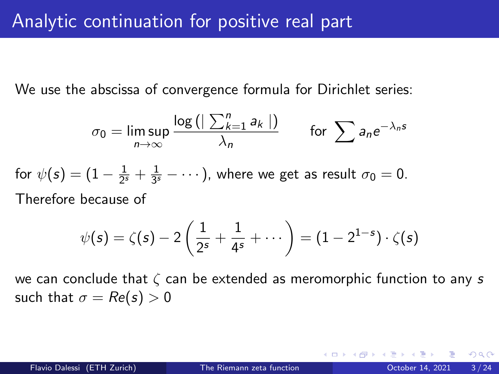We use the abscissa of convergence formula for Dirichlet series:

$$
\sigma_0 = \limsup_{n \to \infty} \frac{\log \left( \left| \sum_{k=1}^n a_k \right| \right)}{\lambda_n} \quad \text{for } \sum a_n e^{-\lambda_n s}
$$

for  $\psi(s)=(1-\frac{1}{2^s})$  $rac{1}{2^s} + \frac{1}{3^s}$  $\frac{1}{3^s} - \cdots$  ), where we get as result  $\sigma_0 = 0$ . Therefore because of

$$
\psi(s) = \zeta(s) - 2\left(\frac{1}{2^s} + \frac{1}{4^s} + \cdots\right) = (1 - 2^{1-s}) \cdot \zeta(s)
$$

we can conclude that  $\zeta$  can be extended as meromorphic function to any s such that  $\sigma = Re(s) > 0$ 

つへへ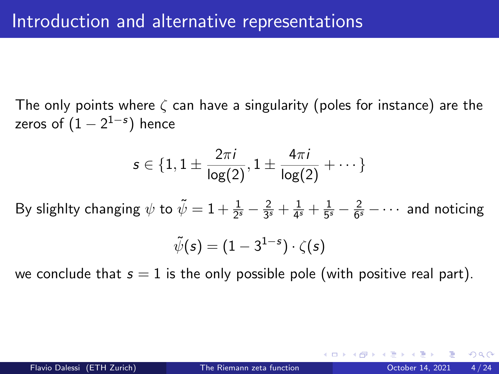The only points where  $\zeta$  can have a singularity (poles for instance) are the zeros of  $(1-2^{\mathbf{1}-\mathbf{s}})$  hence

$$
s \in \{1, 1 \pm \frac{2\pi i}{\log(2)}, 1 \pm \frac{4\pi i}{\log(2)} + \cdots\}
$$

By slighlty changing  $\psi$  to  $\tilde{\psi}=1+\frac{1}{2^s}-\frac{2}{3^s}$  $rac{2}{3^s} + \frac{1}{4^s}$  $\frac{1}{4^{s}} + \frac{1}{5^{s}}$  $rac{1}{5^s} - \frac{2}{6^s}$  $\frac{2}{6^s}$  –  $\cdots$  and noticing

$$
\tilde{\psi}(s)=(1-3^{1-s})\cdot\zeta(s)
$$

we conclude that  $s = 1$  is the only possible pole (with positive real part).

 $\Omega$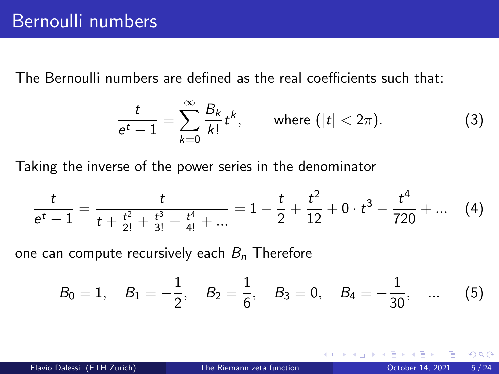The Bernoulli numbers are defined as the real coefficients such that:

<span id="page-5-0"></span>
$$
\frac{t}{e^t-1}=\sum_{k=0}^{\infty}\frac{B_k}{k!}t^k,\qquad\text{where }(|t|<2\pi). \tag{3}
$$

Taking the inverse of the power series in the denominator

$$
\frac{t}{e^t-1}=\frac{t}{t+\frac{t^2}{2!}+\frac{t^3}{3!}+\frac{t^4}{4!}+\dots} = 1-\frac{t}{2}+\frac{t^2}{12}+0\cdot t^3-\frac{t^4}{720}+\dots
$$
 (4)

one can compute recursively each  $B_n$  Therefore

$$
B_0 = 1
$$
,  $B_1 = -\frac{1}{2}$ ,  $B_2 = \frac{1}{6}$ ,  $B_3 = 0$ ,  $B_4 = -\frac{1}{30}$ , ... (5)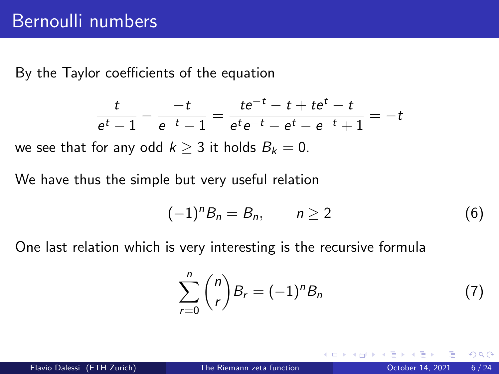By the Taylor coefficients of the equation

$$
\frac{t}{e^t-1} - \frac{-t}{e^{-t}-1} = \frac{te^{-t}-t+te^t-t}{e^te^{-t}-e^t-e^{-t}+1} = -t
$$

we see that for any odd  $k \geq 3$  it holds  $B_k = 0$ .

We have thus the simple but very useful relation

$$
(-1)^n B_n = B_n, \qquad n \ge 2 \tag{6}
$$

One last relation which is very interesting is the recursive formula

$$
\sum_{r=0}^{n} {n \choose r} B_r = (-1)^n B_n \tag{7}
$$

 $\Omega$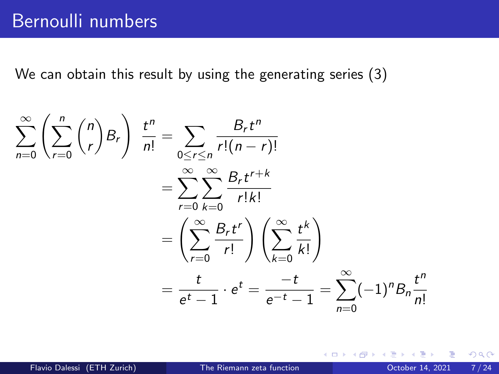We can obtain this result by using the generating series [\(3\)](#page-5-0)

$$
\sum_{n=0}^{\infty} \left( \sum_{r=0}^{n} {n \choose r} B_r \right) \frac{t^n}{n!} = \sum_{0 \le r \le n} \frac{B_r t^n}{r!(n-r)!}
$$

$$
= \sum_{r=0}^{\infty} \sum_{k=0}^{\infty} \frac{B_r t^{r+k}}{r!k!}
$$

$$
= \left( \sum_{r=0}^{\infty} \frac{B_r t^r}{r!} \right) \left( \sum_{k=0}^{\infty} \frac{t^k}{k!} \right)
$$

$$
= \frac{t}{e^t - 1} \cdot e^t = \frac{-t}{e^{-t} - 1} = \sum_{n=0}^{\infty} (-1)^n B_n \frac{t^n}{n!}
$$

4 D F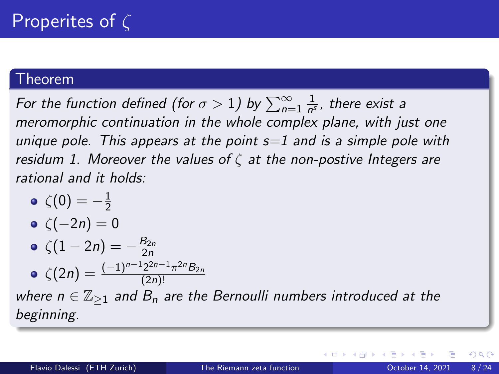#### Theorem

For the function defined (for  $\sigma>1)$  by  $\sum_{n=1}^{\infty}\frac{1}{n^s}$  $\frac{1}{n^s}$ , there exist a meromorphic continuation in the whole complex plane, with just one unique pole. This appears at the point  $s=1$  and is a simple pole with residum 1. Moreover the values of  $\zeta$  at the non-postive Integers are rational and it holds:

 $\zeta(0)=-\frac{1}{2}$ 2 •  $\zeta(-2n) = 0$  $\zeta(1-2n) = -\frac{B_{2n}}{2n}$  $\zeta(2n) = \frac{(-1)^{n-1}2^{2n-1}\pi^{2n}B_{2n}}{(2n)!}$ (2n)!

where  $n \in \mathbb{Z}_{\geq 1}$  and  $B_n$  are the Bernoulli numbers introduced at the beginning.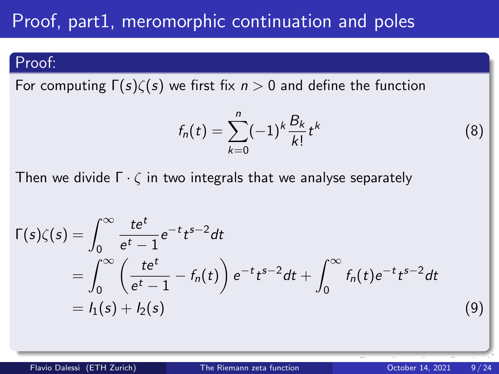## Proof, part1, meromorphic continuation and poles

### Proof:

For computing  $\Gamma(s)\zeta(s)$  we first fix  $n>0$  and define the function

$$
f_n(t) = \sum_{k=0}^n (-1)^k \frac{B_k}{k!} t^k
$$

Then we divide  $\Gamma \cdot \zeta$  in two integrals that we analyse separately

$$
\Gamma(s)\zeta(s) = \int_0^\infty \frac{te^t}{e^t - 1} e^{-t} t^{s-2} dt
$$
  
= 
$$
\int_0^\infty \left(\frac{te^t}{e^t - 1} - f_n(t)\right) e^{-t} t^{s-2} dt + \int_0^\infty f_n(t) e^{-t} t^{s-2} dt
$$
  
= 
$$
I_1(s) + I_2(s)
$$
 (9)

(8)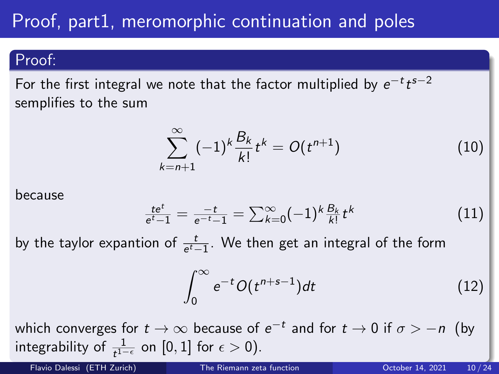# Proof, part1, meromorphic continuation and poles

#### Proof:

For the first integral we note that the factor multiplied by  $e^{-t}t^{s-2}$ semplifies to the sum

$$
\sum_{k=n+1}^{\infty} (-1)^k \frac{B_k}{k!} t^k = O(t^{n+1})
$$
 (10)

because

$$
\frac{te^{t}}{e^{t}-1} = \frac{-t}{e^{-t}-1} = \sum_{k=0}^{\infty} (-1)^{k} \frac{B_{k}}{k!} t^{k}
$$
 (11)

by the taylor expantion of  $\frac{t}{e^t-1}$ . We then get an integral of the form

$$
\int_0^\infty e^{-t} O(t^{n+s-1}) dt \tag{12}
$$

which converges for  $t\to\infty$  because of  $e^{-t}$  and for  $t\to 0$  if  $\sigma>-n$  (by integrability of  $\frac{1}{t^{1-\epsilon}}$  on  $[0,1]$  for  $\epsilon > 0$ ).

Flavio Dalessi (ETH Zurich) [The Riemann zeta function](#page-0-0) October 14, 2021 10 / 24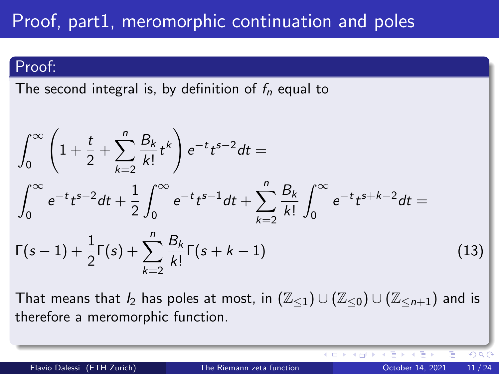## Proof, part1, meromorphic continuation and poles

### Proof:

The second integral is, by definition of  $f_n$  equal to

$$
\int_0^\infty \left(1 + \frac{t}{2} + \sum_{k=2}^n \frac{B_k}{k!} t^k \right) e^{-t} t^{s-2} dt =
$$
\n
$$
\int_0^\infty e^{-t} t^{s-2} dt + \frac{1}{2} \int_0^\infty e^{-t} t^{s-1} dt + \sum_{k=2}^n \frac{B_k}{k!} \int_0^\infty e^{-t} t^{s+k-2} dt =
$$
\n
$$
\Gamma(s-1) + \frac{1}{2} \Gamma(s) + \sum_{k=2}^n \frac{B_k}{k!} \Gamma(s+k-1)
$$
\n(13)

That means that  $I_2$  has poles at most, in  $(\mathbb{Z}_{\leq 1}) \cup (\mathbb{Z}_{\leq 0}) \cup (\mathbb{Z}_{\leq n+1})$  and is therefore a meromorphic function.

€⊡

 $QQ$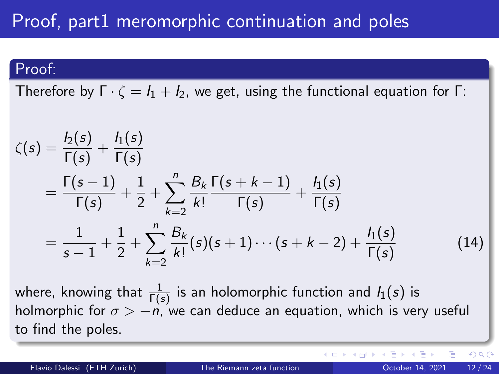## Proof, part1 meromorphic continuation and poles

#### Proof:

Therefore by  $\Gamma \cdot \zeta = I_1 + I_2$ , we get, using the functional equation for Γ:

$$
\zeta(s) = \frac{l_2(s)}{\Gamma(s)} + \frac{l_1(s)}{\Gamma(s)} \n= \frac{\Gamma(s-1)}{\Gamma(s)} + \frac{1}{2} + \sum_{k=2}^n \frac{B_k}{k!} \frac{\Gamma(s+k-1)}{\Gamma(s)} + \frac{l_1(s)}{\Gamma(s)} \n= \frac{1}{s-1} + \frac{1}{2} + \sum_{k=2}^n \frac{B_k}{k!} (s)(s+1) \cdots (s+k-2) + \frac{l_1(s)}{\Gamma(s)}
$$
\n(14)

where, knowing that  $\frac{1}{\Gamma(s)}$  is an holomorphic function and  $I_1(s)$  is holmorphic for  $\sigma > -n$ , we can deduce an equation, which is very useful to find the poles.

 $\Omega$ 

**∢ ロ ▶ ィ 何 ▶ ィ**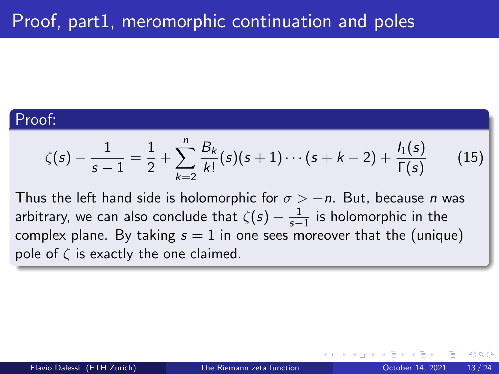### Proof:

$$
\zeta(s) - \frac{1}{s-1} = \frac{1}{2} + \sum_{k=2}^{n} \frac{B_k}{k!} (s)(s+1) \cdots (s+k-2) + \frac{I_1(s)}{\Gamma(s)}
$$
(15)

Thus the left hand side is holomorphic for  $\sigma > -n$ . But, because n was arbitrary, we can also conclude that  $\zeta(s)-\frac{1}{s-1}$  is holomorphic in the complex plane. By taking  $s = 1$  in one sees moreover that the (unique) pole of  $\zeta$  is exactly the one claimed.

つひひ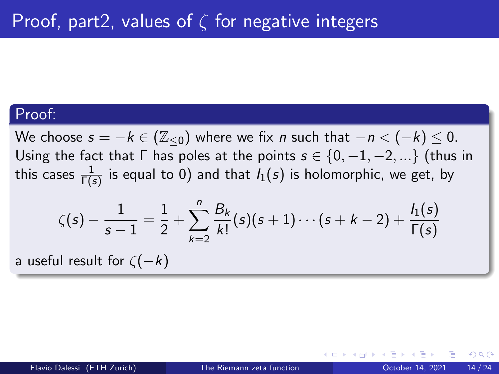#### Proof:

We choose  $s = -k \in (\mathbb{Z}_{\le 0})$  where we fix n such that  $-n < (-k) \le 0$ . Using the fact that  $\Gamma$  has poles at the points  $s \in \{0, -1, -2, ...\}$  (thus in this cases  $\frac{1}{\Gamma(s)}$  is equal to 0) and that  $I_1(s)$  is holomorphic, we get, by

$$
\zeta(s) - \frac{1}{s-1} = \frac{1}{2} + \sum_{k=2}^{n} \frac{B_k}{k!} (s)(s+1) \cdots (s+k-2) + \frac{I_1(s)}{\Gamma(s)}
$$

a useful result for  $\zeta(-k)$ 

つへへ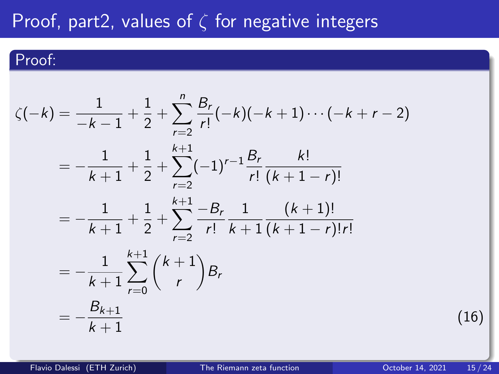## Proof, part2, values of  $\zeta$  for negative integers

### Proof:

$$
\zeta(-k) = \frac{1}{-k-1} + \frac{1}{2} + \sum_{r=2}^{n} \frac{B_r}{r!}(-k)(-k+1)\cdots(-k+r-2)
$$
  
=  $-\frac{1}{k+1} + \frac{1}{2} + \sum_{r=2}^{k+1} (-1)^{r-1} \frac{B_r}{r!} \frac{k!}{(k+1-r)!}$   
=  $-\frac{1}{k+1} + \frac{1}{2} + \sum_{r=2}^{k+1} \frac{-B_r}{r!} \frac{1}{k+1} \frac{(k+1)!}{(k+1-r)!r!}$   
=  $-\frac{1}{k+1} \sum_{r=0}^{k+1} {k+1 \choose r} B_r$   
=  $-\frac{B_{k+1}}{k+1}$ 

(16)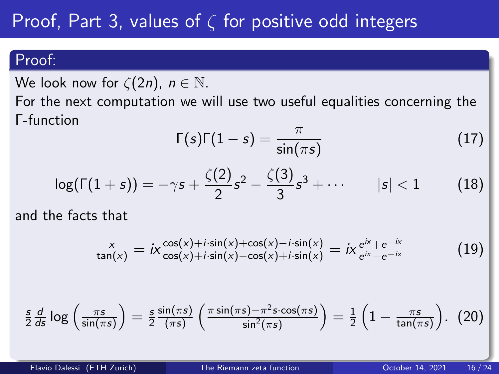# <span id="page-16-0"></span>Proof, Part 3, values of  $\zeta$  for positive odd integers

### Proof:

We look now for  $\zeta(2n)$ ,  $n \in \mathbb{N}$ .

For the next computation we will use two useful equalities concerning the Γ-function

<span id="page-16-3"></span>
$$
\Gamma(s)\Gamma(1-s) = \frac{\pi}{\sin(\pi s)}\tag{17}
$$

<span id="page-16-4"></span>
$$
\log(\Gamma(1+s)) = -\gamma s + \frac{\zeta(2)}{2}s^2 - \frac{\zeta(3)}{3}s^3 + \cdots \qquad |s| < 1 \qquad (18)
$$

and the facts that

<span id="page-16-1"></span>
$$
\frac{x}{\tan(x)} = ix \frac{\cos(x) + i \cdot \sin(x) + \cos(x) - i \cdot \sin(x)}{\cos(x) + i \cdot \sin(x) - \cos(x) + i \cdot \sin(x)} = ix \frac{e^{ix} + e^{-ix}}{e^{ix} - e^{-ix}} \tag{19}
$$

<span id="page-16-2"></span>
$$
\frac{s}{2}\frac{d}{ds}\log\left(\frac{\pi s}{\sin(\pi s)}\right)=\frac{s}{2}\frac{\sin(\pi s)}{(\pi s)}\left(\frac{\pi \sin(\pi s)-\pi^2 s\cdot \cos(\pi s)}{\sin^2(\pi s)}\right)=\frac{1}{2}\left(1-\frac{\pi s}{\tan(\pi s)}\right). (20)
$$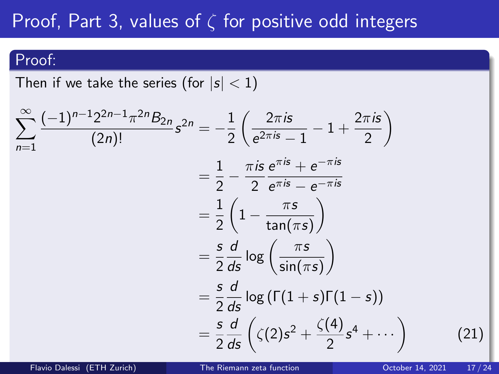## Proof, Part 3, values of  $\zeta$  for positive odd integers

#### Proof:

Then if we take the series (for  $|s| < 1$ )

$$
\sum_{n=1}^{\infty} \frac{(-1)^{n-1} 2^{2n-1} \pi^{2n} B_{2n}}{(2n)!} s^{2n} = -\frac{1}{2} \left( \frac{2\pi i s}{e^{2\pi i s} - 1} - 1 + \frac{2\pi i s}{2} \right)
$$
  

$$
= \frac{1}{2} - \frac{\pi i s}{2} \frac{e^{\pi i s} + e^{-\pi i s}}{e^{\pi i s} - e^{-\pi i s}}
$$
  

$$
= \frac{1}{2} \left( 1 - \frac{\pi s}{\tan(\pi s)} \right)
$$
  

$$
= \frac{s}{2} \frac{d}{ds} \log \left( \frac{\pi s}{\sin(\pi s)} \right)
$$
  

$$
= \frac{s}{2} \frac{d}{ds} \log \left( \Gamma(1+s) \Gamma(1-s) \right)
$$
  

$$
= \frac{s}{2} \frac{d}{ds} \left( \zeta(2) s^2 + \frac{\zeta(4)}{2} s^4 + \cdots \right)
$$

Flavio Dalessi (ETH Zurich) [The Riemann zeta function](#page-0-0) October 14, 2021 17 / 24

(21)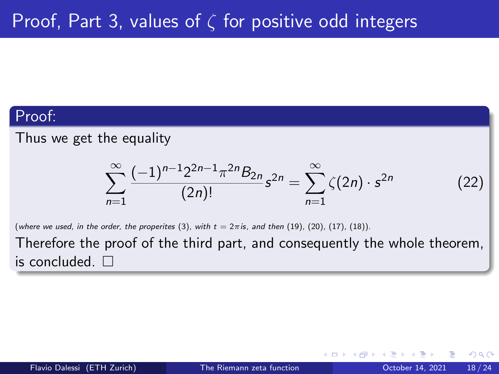#### Proof:

Thus we get the equality

$$
\sum_{n=1}^{\infty} \frac{(-1)^{n-1} 2^{2n-1} \pi^{2n} B_{2n}}{(2n)!} s^{2n} = \sum_{n=1}^{\infty} \zeta(2n) \cdot s^{2n} \tag{22}
$$

(where we used, in the order, the properites  $(3)$ , with  $t = 2\pi i s$ , and then  $(19)$ ,  $(20)$ ,  $(17)$ ,  $(18)$ ).

Therefore the proof of the third part, and consequently the whole theorem, is concluded.  $\square$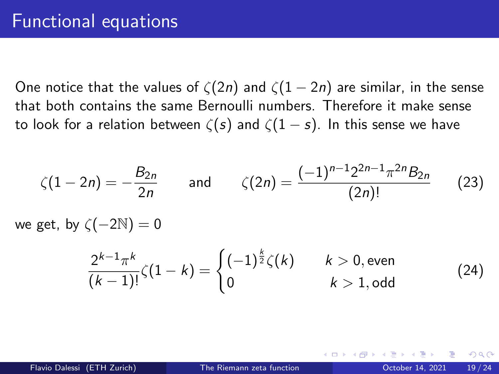One notice that the values of  $\zeta(2n)$  and  $\zeta(1-2n)$  are similar, in the sense that both contains the same Bernoulli numbers. Therefore it make sense to look for a relation between  $\zeta(s)$  and  $\zeta(1-s)$ . In this sense we have

$$
\zeta(1-2n)=-\frac{B_{2n}}{2n} \qquad \text{and} \qquad \zeta(2n)=\frac{(-1)^{n-1}2^{2n-1}\pi^{2n}B_{2n}}{(2n)!} \qquad (23)
$$

we get, by  $\zeta(-2\mathbb{N})=0$ 

$$
\frac{2^{k-1}\pi^k}{(k-1)!}\zeta(1-k) = \begin{cases} (-1)^{\frac{k}{2}}\zeta(k) & k > 0, \text{ even} \\ 0 & k > 1, \text{ odd} \end{cases}
$$
 (24)

つへへ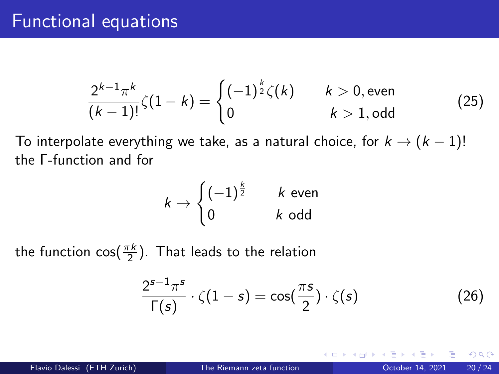### Functional equations

$$
\frac{2^{k-1}\pi^k}{(k-1)!}\zeta(1-k) = \begin{cases} (-1)^{\frac{k}{2}}\zeta(k) & k > 0, \text{even} \\ 0 & k > 1, \text{odd} \end{cases}
$$
(25)

To interpolate everything we take, as a natural choice, for  $k \rightarrow (k-1)!$ the Γ-function and for

$$
k \to \begin{cases} (-1)^{\frac{k}{2}} & k \text{ even} \\ 0 & k \text{ odd} \end{cases}
$$

the function cos $(\frac{\pi k}{2})$ . That leads to the relation

<span id="page-20-0"></span>
$$
\frac{2^{s-1}\pi^s}{\Gamma(s)} \cdot \zeta(1-s) = \cos(\frac{\pi s}{2}) \cdot \zeta(s) \tag{26}
$$

 $\Omega$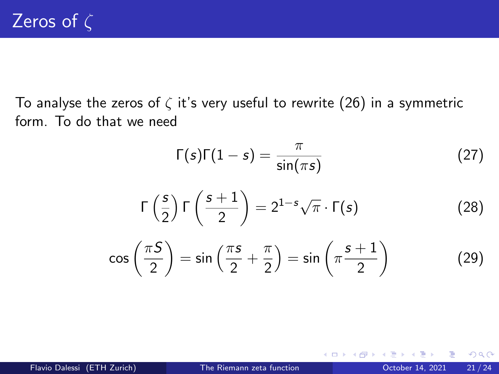To analyse the zeros of  $\zeta$  it's very useful to rewrite [\(26\)](#page-20-0) in a symmetric form. To do that we need

$$
\Gamma(s)\Gamma(1-s) = \frac{\pi}{\sin(\pi s)}
$$
(27)  

$$
\Gamma\left(\frac{s}{2}\right)\Gamma\left(\frac{s+1}{2}\right) = 2^{1-s}\sqrt{\pi} \cdot \Gamma(s)
$$
(28)  

$$
\Gamma\left(\frac{\pi s}{2}\right) = \frac{\pi}{\sqrt{1-s}} \cdot \Gamma\left(\frac{s+1}{2}\right)
$$
(29)

$$
\cos\left(\frac{\pi S}{2}\right) = \sin\left(\frac{\pi s}{2} + \frac{\pi}{2}\right) = \sin\left(\pi \frac{s+1}{2}\right) \tag{29}
$$

4 D F

 $QQ$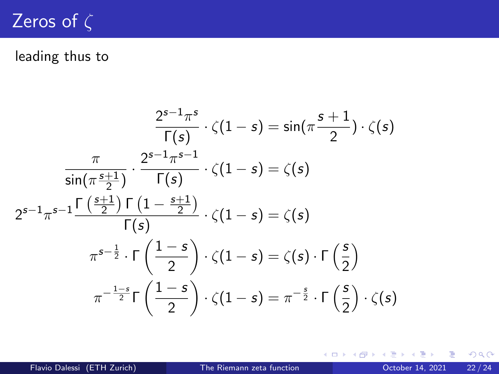## Zeros of  $\zeta$

### leading thus to

$$
\frac{2^{s-1}\pi^s}{\Gamma(s)} \cdot \zeta(1-s) = \sin(\pi \frac{s+1}{2}) \cdot \zeta(s)
$$

$$
\frac{\pi}{\sin(\pi \frac{s+1}{2})} \cdot \frac{2^{s-1}\pi^{s-1}}{\Gamma(s)} \cdot \zeta(1-s) = \zeta(s)
$$

$$
2^{s-1}\pi^{s-1} \frac{\Gamma(\frac{s+1}{2})\Gamma(1-\frac{s+1}{2})}{\Gamma(s)} \cdot \zeta(1-s) = \zeta(s)
$$

$$
\pi^{s-\frac{1}{2}} \cdot \Gamma(\frac{1-s}{2}) \cdot \zeta(1-s) = \zeta(s) \cdot \Gamma(\frac{s}{2})
$$

$$
\pi^{-\frac{1-s}{2}} \Gamma(\frac{1-s}{2}) \cdot \zeta(1-s) = \pi^{-\frac{s}{2}} \cdot \Gamma(\frac{s}{2}) \cdot \zeta(s)
$$

 $\mathbf{d}$ 

э D.

**K ロ ▶ K 母 ▶ K** 

重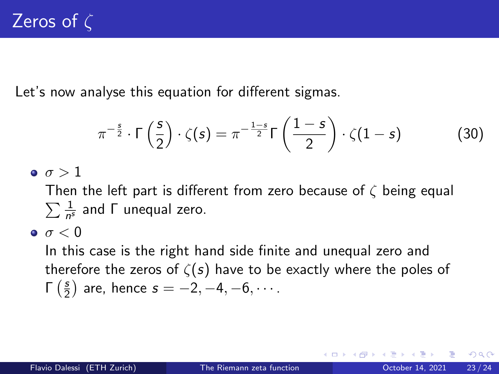Let's now analyse this equation for different sigmas.

$$
\pi^{-\frac{s}{2}} \cdot \Gamma\left(\frac{s}{2}\right) \cdot \zeta(s) = \pi^{-\frac{1-s}{2}} \Gamma\left(\frac{1-s}{2}\right) \cdot \zeta(1-s) \tag{30}
$$

 $\bullet$   $\sigma > 1$ 

 $\sum \frac{1}{n^2}$ Then the left part is different from zero because of  $\zeta$  being equal  $\frac{1}{n^s}$  and  $\Gamma$  unequal zero.

 $\bullet$   $\sigma$  < 0

In this case is the right hand side finite and unequal zero and therefore the zeros of  $\zeta(s)$  have to be exactly where the poles of  $Γ\left(\frac{s}{2}\right)$  $(\frac{s}{2})$  are, hence  $s = -2, -4, -6, \cdots$ .

つひい